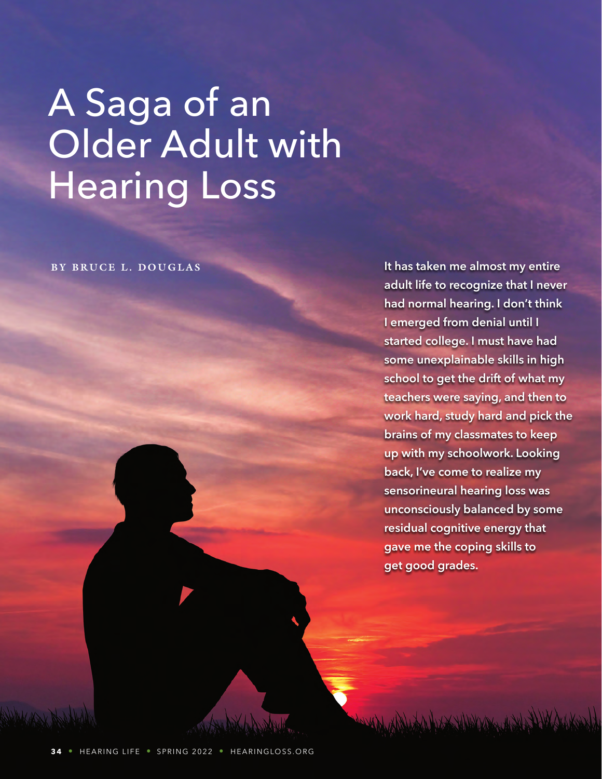# A Saga of an Older Adult with Hearing Loss

**BY BRUCE L. DOUGLAS It has taken me almost my entire adult life to recognize that I never had normal hearing. I don't think I emerged from denial until I started college. I must have had some unexplainable skills in high school to get the drift of what my teachers were saying, and then to work hard, study hard and pick the brains of my classmates to keep up with my schoolwork. Looking back, I've come to realize my sensorineural hearing loss was unconsciously balanced by some residual cognitive energy that gave me the coping skills to get good grades.**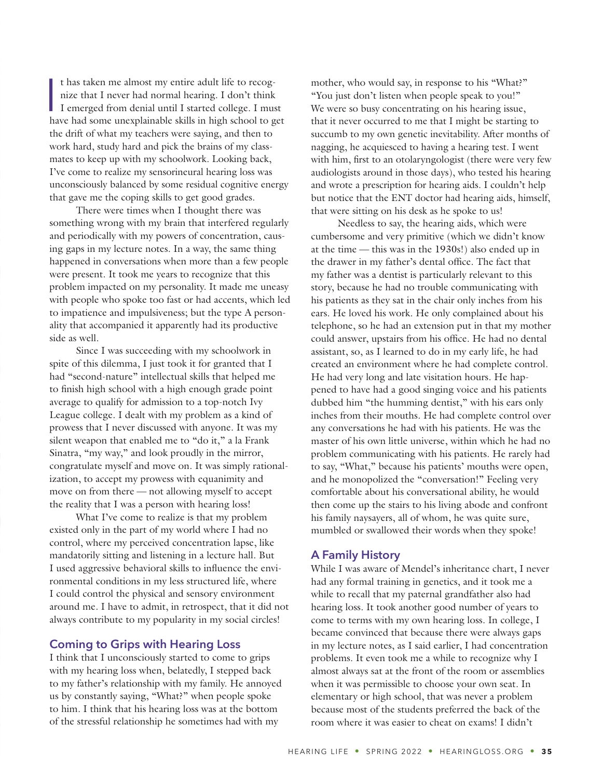I<br>I<br>I<br>I t has taken me almost my entire adult life to recognize that I never had normal hearing. I don't think I emerged from denial until I started college. I must have had some unexplainable skills in high school to get the drift of what my teachers were saying, and then to work hard, study hard and pick the brains of my classmates to keep up with my schoolwork. Looking back, I've come to realize my sensorineural hearing loss was unconsciously balanced by some residual cognitive energy that gave me the coping skills to get good grades.

There were times when I thought there was something wrong with my brain that interfered regularly and periodically with my powers of concentration, causing gaps in my lecture notes. In a way, the same thing happened in conversations when more than a few people were present. It took me years to recognize that this problem impacted on my personality. It made me uneasy with people who spoke too fast or had accents, which led to impatience and impulsiveness; but the type A personality that accompanied it apparently had its productive side as well.

Since I was succeeding with my schoolwork in spite of this dilemma, I just took it for granted that I had "second-nature" intellectual skills that helped me to finish high school with a high enough grade point average to qualify for admission to a top-notch Ivy League college. I dealt with my problem as a kind of prowess that I never discussed with anyone. It was my silent weapon that enabled me to "do it," a la Frank Sinatra, "my way," and look proudly in the mirror, congratulate myself and move on. It was simply rationalization, to accept my prowess with equanimity and move on from there — not allowing myself to accept the reality that I was a person with hearing loss!

What I've come to realize is that my problem existed only in the part of my world where I had no control, where my perceived concentration lapse, like mandatorily sitting and listening in a lecture hall. But I used aggressive behavioral skills to influence the environmental conditions in my less structured life, where I could control the physical and sensory environment around me. I have to admit, in retrospect, that it did not always contribute to my popularity in my social circles!

# **Coming to Grips with Hearing Loss**

I think that I unconsciously started to come to grips with my hearing loss when, belatedly, I stepped back to my father's relationship with my family. He annoyed us by constantly saying, "What?" when people spoke to him. I think that his hearing loss was at the bottom of the stressful relationship he sometimes had with my

mother, who would say, in response to his "What?" "You just don't listen when people speak to you!" We were so busy concentrating on his hearing issue, that it never occurred to me that I might be starting to succumb to my own genetic inevitability. After months of nagging, he acquiesced to having a hearing test. I went with him, first to an otolaryngologist (there were very few audiologists around in those days), who tested his hearing and wrote a prescription for hearing aids. I couldn't help but notice that the ENT doctor had hearing aids, himself, that were sitting on his desk as he spoke to us!

Needless to say, the hearing aids, which were cumbersome and very primitive (which we didn't know at the time — this was in the 1930s!) also ended up in the drawer in my father's dental office. The fact that my father was a dentist is particularly relevant to this story, because he had no trouble communicating with his patients as they sat in the chair only inches from his ears. He loved his work. He only complained about his telephone, so he had an extension put in that my mother could answer, upstairs from his office. He had no dental assistant, so, as I learned to do in my early life, he had created an environment where he had complete control. He had very long and late visitation hours. He happened to have had a good singing voice and his patients dubbed him "the humming dentist," with his ears only inches from their mouths. He had complete control over any conversations he had with his patients. He was the master of his own little universe, within which he had no problem communicating with his patients. He rarely had to say, "What," because his patients' mouths were open, and he monopolized the "conversation!" Feeling very comfortable about his conversational ability, he would then come up the stairs to his living abode and confront his family naysayers, all of whom, he was quite sure, mumbled or swallowed their words when they spoke!

#### **A Family History**

While I was aware of Mendel's inheritance chart, I never had any formal training in genetics, and it took me a while to recall that my paternal grandfather also had hearing loss. It took another good number of years to come to terms with my own hearing loss. In college, I became convinced that because there were always gaps in my lecture notes, as I said earlier, I had concentration problems. It even took me a while to recognize why I almost always sat at the front of the room or assemblies when it was permissible to choose your own seat. In elementary or high school, that was never a problem because most of the students preferred the back of the room where it was easier to cheat on exams! I didn't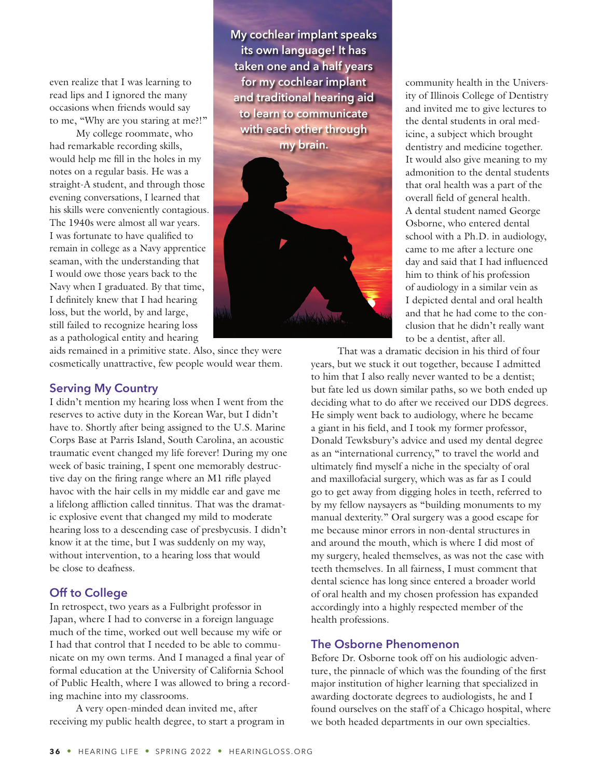even realize that I was learning to read lips and I ignored the many occasions when friends would say to me, "Why are you staring at me?!"

My college roommate, who had remarkable recording skills, would help me fill in the holes in my notes on a regular basis. He was a straight-A student, and through those evening conversations, I learned that his skills were conveniently contagious. The 1940s were almost all war years. I was fortunate to have qualified to remain in college as a Navy apprentice seaman, with the understanding that I would owe those years back to the Navy when I graduated. By that time, I definitely knew that I had hearing loss, but the world, by and large, still failed to recognize hearing loss as a pathological entity and hearing

**My cochlear implant speaks its own language! It has taken one and a half years for my cochlear implant and traditional hearing aid to learn to communicate with each other through my brain.** 



aids remained in a primitive state. Also, since they were cosmetically unattractive, few people would wear them.

### **Serving My Country**

I didn't mention my hearing loss when I went from the reserves to active duty in the Korean War, but I didn't have to. Shortly after being assigned to the U.S. Marine Corps Base at Parris Island, South Carolina, an acoustic traumatic event changed my life forever! During my one week of basic training, I spent one memorably destructive day on the firing range where an M1 rifle played havoc with the hair cells in my middle ear and gave me a lifelong affliction called tinnitus. That was the dramatic explosive event that changed my mild to moderate hearing loss to a descending case of presbycusis. I didn't know it at the time, but I was suddenly on my way, without intervention, to a hearing loss that would be close to deafness.

# **Off to College**

In retrospect, two years as a Fulbright professor in Japan, where I had to converse in a foreign language much of the time, worked out well because my wife or I had that control that I needed to be able to communicate on my own terms. And I managed a final year of formal education at the University of California School of Public Health, where I was allowed to bring a recording machine into my classrooms.

A very open-minded dean invited me, after receiving my public health degree, to start a program in community health in the University of Illinois College of Dentistry and invited me to give lectures to the dental students in oral medicine, a subject which brought dentistry and medicine together. It would also give meaning to my admonition to the dental students that oral health was a part of the overall field of general health. A dental student named George Osborne, who entered dental school with a Ph.D. in audiology, came to me after a lecture one day and said that I had influenced him to think of his profession of audiology in a similar vein as I depicted dental and oral health and that he had come to the conclusion that he didn't really want to be a dentist, after all.

That was a dramatic decision in his third of four years, but we stuck it out together, because I admitted to him that I also really never wanted to be a dentist; but fate led us down similar paths, so we both ended up deciding what to do after we received our DDS degrees. He simply went back to audiology, where he became a giant in his field, and I took my former professor, Donald Tewksbury's advice and used my dental degree as an "international currency," to travel the world and ultimately find myself a niche in the specialty of oral and maxillofacial surgery, which was as far as I could go to get away from digging holes in teeth, referred to by my fellow naysayers as "building monuments to my manual dexterity." Oral surgery was a good escape for me because minor errors in non-dental structures in and around the mouth, which is where I did most of my surgery, healed themselves, as was not the case with teeth themselves. In all fairness, I must comment that dental science has long since entered a broader world of oral health and my chosen profession has expanded accordingly into a highly respected member of the health professions.

### **The Osborne Phenomenon**

Before Dr. Osborne took off on his audiologic adventure, the pinnacle of which was the founding of the first major institution of higher learning that specialized in awarding doctorate degrees to audiologists, he and I found ourselves on the staff of a Chicago hospital, where we both headed departments in our own specialties.